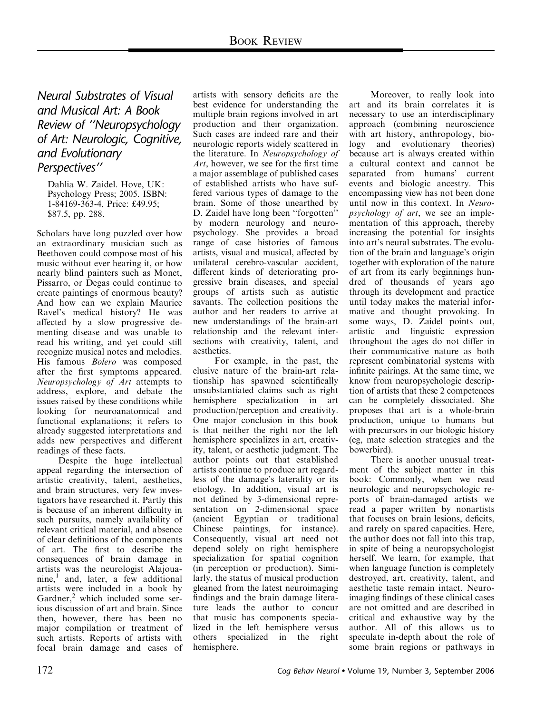Neural Substrates of Visual and Musical Art: A Book Review of ''Neuropsychology of Art: Neurologic, Cognitive, and Evolutionary Perspectives''

Dahlia W. Zaidel. Hove, UK: Psychology Press; 2005. ISBN: 1-84169-363-4, Price: £49.95; \$87.5, pp. 288.

Scholars have long puzzled over how an extraordinary musician such as Beethoven could compose most of his music without ever hearing it, or how nearly blind painters such as Monet, Pissarro, or Degas could continue to create paintings of enormous beauty? And how can we explain Maurice Ravel's medical history? He was affected by a slow progressive dementing disease and was unable to read his writing, and yet could still recognize musical notes and melodies. His famous Bolero was composed after the first symptoms appeared. Neuropsychology of Art attempts to address, explore, and debate the issues raised by these conditions while looking for neuroanatomical and functional explanations; it refers to already suggested interpretations and adds new perspectives and different readings of these facts.

Despite the huge intellectual appeal regarding the intersection of artistic creativity, talent, aesthetics, and brain structures, very few investigators have researched it. Partly this is because of an inherent difficulty in such pursuits, namely availability of relevant critical material, and absence of clear definitions of the components of art. The first to describe the consequences of brain damage in artists was the neurologist Alajouanine,<sup>1</sup> and, later, a few additional artists were included in a book by Gardner, $2$  which included some serious discussion of art and brain. Since then, however, there has been no major compilation or treatment of such artists. Reports of artists with focal brain damage and cases of

artists with sensory deficits are the best evidence for understanding the multiple brain regions involved in art production and their organization. Such cases are indeed rare and their neurologic reports widely scattered in the literature. In Neuropsychology of Art, however, we see for the first time a major assemblage of published cases of established artists who have suffered various types of damage to the brain. Some of those unearthed by D. Zaidel have long been ''forgotten'' by modern neurology and neuropsychology. She provides a broad range of case histories of famous artists, visual and musical, affected by unilateral cerebro-vascular accident, different kinds of deteriorating progressive brain diseases, and special groups of artists such as autistic savants. The collection positions the author and her readers to arrive at new understandings of the brain-art relationship and the relevant intersections with creativity, talent, and aesthetics.

For example, in the past, the elusive nature of the brain-art relationship has spawned scientifically unsubstantiated claims such as right hemisphere specialization in art production/perception and creativity. One major conclusion in this book is that neither the right nor the left hemisphere specializes in art, creativity, talent, or aesthetic judgment. The author points out that established artists continue to produce art regardless of the damage's laterality or its etiology. In addition, visual art is not defined by 3-dimensional representation on 2-dimensional space (ancient Egyptian or traditional Chinese paintings, for instance). Consequently, visual art need not depend solely on right hemisphere specialization for spatial cognition (in perception or production). Similarly, the status of musical production gleaned from the latest neuroimaging findings and the brain damage literature leads the author to concur that music has components specialized in the left hemisphere versus others specialized in the right hemisphere.

Moreover, to really look into art and its brain correlates it is necessary to use an interdisciplinary approach (combining neuroscience with art history, anthropology, biology and evolutionary theories) because art is always created within a cultural context and cannot be separated from humans' current events and biologic ancestry. This encompassing view has not been done until now in this context. In Neuropsychology of art, we see an implementation of this approach, thereby increasing the potential for insights into art's neural substrates. The evolution of the brain and language's origin together with exploration of the nature of art from its early beginnings hundred of thousands of years ago through its development and practice until today makes the material informative and thought provoking. In some ways, D. Zaidel points out, artistic and linguistic expression throughout the ages do not differ in their communicative nature as both represent combinatorial systems with infinite pairings. At the same time, we know from neuropsychologic description of artists that these 2 competences can be completely dissociated. She proposes that art is a whole-brain production, unique to humans but with precursors in our biologic history (eg, mate selection strategies and the bowerbird).

There is another unusual treatment of the subject matter in this book: Commonly, when we read neurologic and neuropsychologic reports of brain-damaged artists we read a paper written by nonartists that focuses on brain lesions, deficits, and rarely on spared capacities. Here, the author does not fall into this trap, in spite of being a neuropsychologist herself. We learn, for example, that when language function is completely destroyed, art, creativity, talent, and aesthetic taste remain intact. Neuroimaging findings of these clinical cases are not omitted and are described in critical and exhaustive way by the author. All of this allows us to speculate in-depth about the role of some brain regions or pathways in